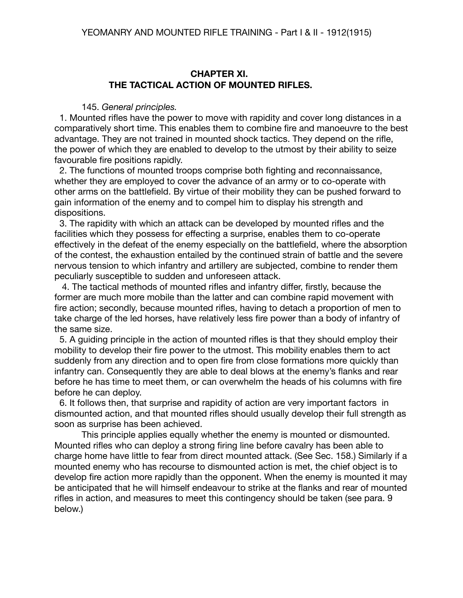## **CHAPTER XI. THE TACTICAL ACTION OF MOUNTED RIFLES.**

145. *General principles.*

 1. Mounted rifles have the power to move with rapidity and cover long distances in a comparatively short time. This enables them to combine fire and manoeuvre to the best advantage. They are not trained in mounted shock tactics. They depend on the rifle, the power of which they are enabled to develop to the utmost by their ability to seize favourable fire positions rapidly.

 2. The functions of mounted troops comprise both fighting and reconnaissance, whether they are employed to cover the advance of an army or to co-operate with other arms on the battlefield. By virtue of their mobility they can be pushed forward to gain information of the enemy and to compel him to display his strength and dispositions.

 3. The rapidity with which an attack can be developed by mounted rifles and the facilities which they possess for effecting a surprise, enables them to co-operate effectively in the defeat of the enemy especially on the battlefield, where the absorption of the contest, the exhaustion entailed by the continued strain of battle and the severe nervous tension to which infantry and artillery are subjected, combine to render them peculiarly susceptible to sudden and unforeseen attack.

 4. The tactical methods of mounted rifles and infantry differ, firstly, because the former are much more mobile than the latter and can combine rapid movement with fire action; secondly, because mounted rifles, having to detach a proportion of men to take charge of the led horses, have relatively less fire power than a body of infantry of the same size.

 5. A guiding principle in the action of mounted rifles is that they should employ their mobility to develop their fire power to the utmost. This mobility enables them to act suddenly from any direction and to open fire from close formations more quickly than infantry can. Consequently they are able to deal blows at the enemy's flanks and rear before he has time to meet them, or can overwhelm the heads of his columns with fire before he can deploy.

 6. It follows then, that surprise and rapidity of action are very important factors in dismounted action, and that mounted rifles should usually develop their full strength as soon as surprise has been achieved.

This principle applies equally whether the enemy is mounted or dismounted. Mounted rifles who can deploy a strong firing line before cavalry has been able to charge home have little to fear from direct mounted attack. (See Sec. 158.) Similarly if a mounted enemy who has recourse to dismounted action is met, the chief object is to develop fire action more rapidly than the opponent. When the enemy is mounted it may be anticipated that he will himself endeavour to strike at the flanks and rear of mounted rifles in action, and measures to meet this contingency should be taken (see para. 9 below.)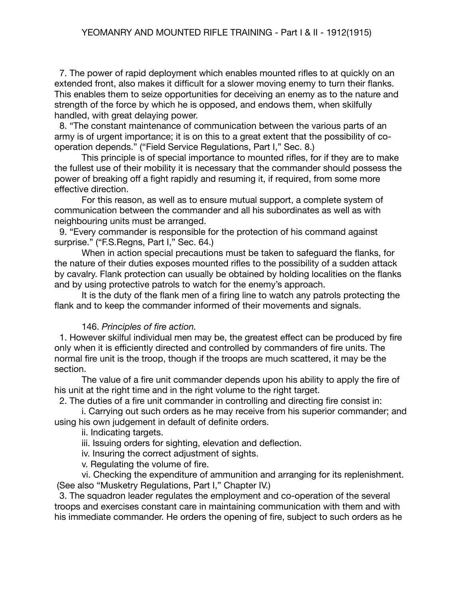7. The power of rapid deployment which enables mounted rifles to at quickly on an extended front, also makes it difficult for a slower moving enemy to turn their flanks. This enables them to seize opportunities for deceiving an enemy as to the nature and strength of the force by which he is opposed, and endows them, when skilfully handled, with great delaying power.

 8. "The constant maintenance of communication between the various parts of an army is of urgent importance; it is on this to a great extent that the possibility of cooperation depends." ("Field Service Regulations, Part I," Sec. 8.)

This principle is of special importance to mounted rifles, for if they are to make the fullest use of their mobility it is necessary that the commander should possess the power of breaking off a fight rapidly and resuming it, if required, from some more effective direction.

For this reason, as well as to ensure mutual support, a complete system of communication between the commander and all his subordinates as well as with neighbouring units must be arranged.

 9. "Every commander is responsible for the protection of his command against surprise." ("F.S.Regns, Part I," Sec. 64.)

When in action special precautions must be taken to safeguard the flanks, for the nature of their duties exposes mounted rifles to the possibility of a sudden attack by cavalry. Flank protection can usually be obtained by holding localities on the flanks and by using protective patrols to watch for the enemy's approach.

It is the duty of the flank men of a firing line to watch any patrols protecting the flank and to keep the commander informed of their movements and signals.

### 146. *Principles of fire action.*

1. However skilful individual men may be, the greatest effect can be produced by fire only when it is efficiently directed and controlled by commanders of fire units. The normal fire unit is the troop, though if the troops are much scattered, it may be the section.

The value of a fire unit commander depends upon his ability to apply the fire of his unit at the right time and in the right volume to the right target.

2. The duties of a fire unit commander in controlling and directing fire consist in:

i. Carrying out such orders as he may receive from his superior commander; and using his own judgement in default of definite orders.

ii. Indicating targets.

iii. Issuing orders for sighting, elevation and deflection.

iv. Insuring the correct adjustment of sights.

v. Regulating the volume of fire.

vi. Checking the expenditure of ammunition and arranging for its replenishment. (See also "Musketry Regulations, Part I," Chapter IV.)

 3. The squadron leader regulates the employment and co-operation of the several troops and exercises constant care in maintaining communication with them and with his immediate commander. He orders the opening of fire, subject to such orders as he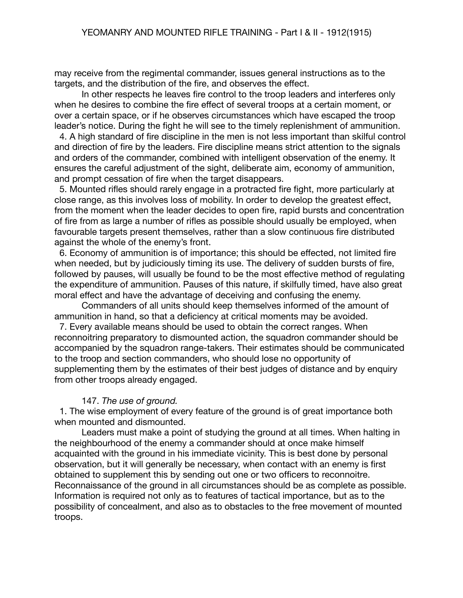may receive from the regimental commander, issues general instructions as to the targets, and the distribution of the fire, and observes the effect.

In other respects he leaves fire control to the troop leaders and interferes only when he desires to combine the fire effect of several troops at a certain moment, or over a certain space, or if he observes circumstances which have escaped the troop leader's notice. During the fight he will see to the timely replenishment of ammunition.

 4. A high standard of fire discipline in the men is not less important than skilful control and direction of fire by the leaders. Fire discipline means strict attention to the signals and orders of the commander, combined with intelligent observation of the enemy. It ensures the careful adjustment of the sight, deliberate aim, economy of ammunition, and prompt cessation of fire when the target disappears.

 5. Mounted rifles should rarely engage in a protracted fire fight, more particularly at close range, as this involves loss of mobility. In order to develop the greatest effect, from the moment when the leader decides to open fire, rapid bursts and concentration of fire from as large a number of rifles as possible should usually be employed, when favourable targets present themselves, rather than a slow continuous fire distributed against the whole of the enemy's front.

 6. Economy of ammunition is of importance; this should be effected, not limited fire when needed, but by judiciously timing its use. The delivery of sudden bursts of fire, followed by pauses, will usually be found to be the most effective method of regulating the expenditure of ammunition. Pauses of this nature, if skilfully timed, have also great moral effect and have the advantage of deceiving and confusing the enemy.

Commanders of all units should keep themselves informed of the amount of ammunition in hand, so that a deficiency at critical moments may be avoided.

 7. Every available means should be used to obtain the correct ranges. When reconnoitring preparatory to dismounted action, the squadron commander should be accompanied by the squadron range-takers. Their estimates should be communicated to the troop and section commanders, who should lose no opportunity of supplementing them by the estimates of their best judges of distance and by enquiry from other troops already engaged.

### 147. *The use of ground.*

 1. The wise employment of every feature of the ground is of great importance both when mounted and dismounted.

Leaders must make a point of studying the ground at all times. When halting in the neighbourhood of the enemy a commander should at once make himself acquainted with the ground in his immediate vicinity. This is best done by personal observation, but it will generally be necessary, when contact with an enemy is first obtained to supplement this by sending out one or two officers to reconnoitre. Reconnaissance of the ground in all circumstances should be as complete as possible. Information is required not only as to features of tactical importance, but as to the possibility of concealment, and also as to obstacles to the free movement of mounted troops.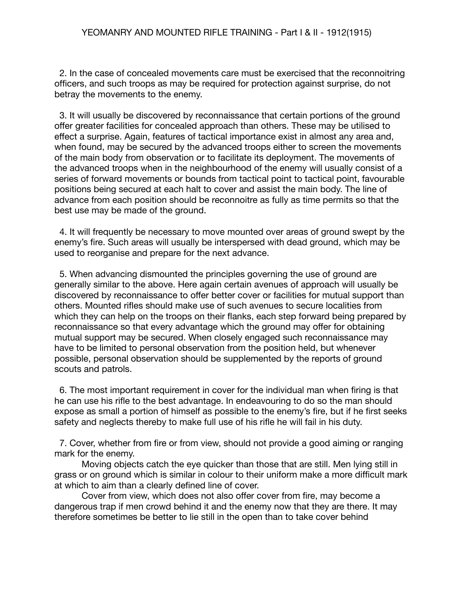2. In the case of concealed movements care must be exercised that the reconnoitring officers, and such troops as may be required for protection against surprise, do not betray the movements to the enemy.

 3. It will usually be discovered by reconnaissance that certain portions of the ground offer greater facilities for concealed approach than others. These may be utilised to effect a surprise. Again, features of tactical importance exist in almost any area and, when found, may be secured by the advanced troops either to screen the movements of the main body from observation or to facilitate its deployment. The movements of the advanced troops when in the neighbourhood of the enemy will usually consist of a series of forward movements or bounds from tactical point to tactical point, favourable positions being secured at each halt to cover and assist the main body. The line of advance from each position should be reconnoitre as fully as time permits so that the best use may be made of the ground.

 4. It will frequently be necessary to move mounted over areas of ground swept by the enemy's fire. Such areas will usually be interspersed with dead ground, which may be used to reorganise and prepare for the next advance.

 5. When advancing dismounted the principles governing the use of ground are generally similar to the above. Here again certain avenues of approach will usually be discovered by reconnaissance to offer better cover or facilities for mutual support than others. Mounted rifles should make use of such avenues to secure localities from which they can help on the troops on their flanks, each step forward being prepared by reconnaissance so that every advantage which the ground may offer for obtaining mutual support may be secured. When closely engaged such reconnaissance may have to be limited to personal observation from the position held, but whenever possible, personal observation should be supplemented by the reports of ground scouts and patrols.

 6. The most important requirement in cover for the individual man when firing is that he can use his rifle to the best advantage. In endeavouring to do so the man should expose as small a portion of himself as possible to the enemy's fire, but if he first seeks safety and neglects thereby to make full use of his rifle he will fail in his duty.

 7. Cover, whether from fire or from view, should not provide a good aiming or ranging mark for the enemy.

Moving objects catch the eye quicker than those that are still. Men lying still in grass or on ground which is similar in colour to their uniform make a more difficult mark at which to aim than a clearly defined line of cover.

Cover from view, which does not also offer cover from fire, may become a dangerous trap if men crowd behind it and the enemy now that they are there. It may therefore sometimes be better to lie still in the open than to take cover behind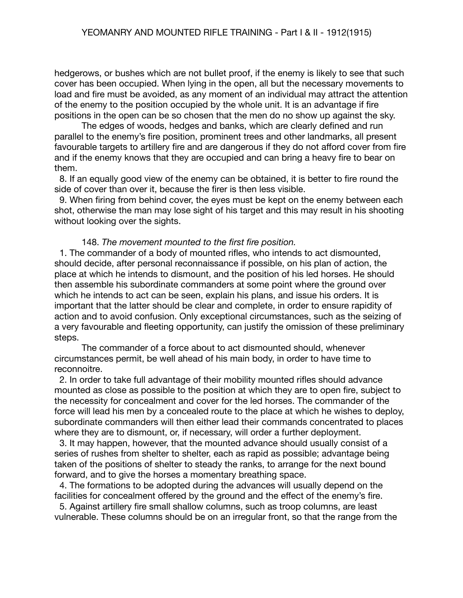hedgerows, or bushes which are not bullet proof, if the enemy is likely to see that such cover has been occupied. When lying in the open, all but the necessary movements to load and fire must be avoided, as any moment of an individual may attract the attention of the enemy to the position occupied by the whole unit. It is an advantage if fire positions in the open can be so chosen that the men do no show up against the sky.

The edges of woods, hedges and banks, which are clearly defined and run parallel to the enemy's fire position, prominent trees and other landmarks, all present favourable targets to artillery fire and are dangerous if they do not afford cover from fire and if the enemy knows that they are occupied and can bring a heavy fire to bear on them.

 8. If an equally good view of the enemy can be obtained, it is better to fire round the side of cover than over it, because the firer is then less visible.

 9. When firing from behind cover, the eyes must be kept on the enemy between each shot, otherwise the man may lose sight of his target and this may result in his shooting without looking over the sights.

#### 148. *The movement mounted to the first fire position.*

 1. The commander of a body of mounted rifles, who intends to act dismounted, should decide, after personal reconnaissance if possible, on his plan of action, the place at which he intends to dismount, and the position of his led horses. He should then assemble his subordinate commanders at some point where the ground over which he intends to act can be seen, explain his plans, and issue his orders. It is important that the latter should be clear and complete, in order to ensure rapidity of action and to avoid confusion. Only exceptional circumstances, such as the seizing of a very favourable and fleeting opportunity, can justify the omission of these preliminary steps.

The commander of a force about to act dismounted should, whenever circumstances permit, be well ahead of his main body, in order to have time to reconnoitre.

 2. In order to take full advantage of their mobility mounted rifles should advance mounted as close as possible to the position at which they are to open fire, subject to the necessity for concealment and cover for the led horses. The commander of the force will lead his men by a concealed route to the place at which he wishes to deploy, subordinate commanders will then either lead their commands concentrated to places where they are to dismount, or, if necessary, will order a further deployment.

 3. It may happen, however, that the mounted advance should usually consist of a series of rushes from shelter to shelter, each as rapid as possible; advantage being taken of the positions of shelter to steady the ranks, to arrange for the next bound forward, and to give the horses a momentary breathing space.

 4. The formations to be adopted during the advances will usually depend on the facilities for concealment offered by the ground and the effect of the enemy's fire.

 5. Against artillery fire small shallow columns, such as troop columns, are least vulnerable. These columns should be on an irregular front, so that the range from the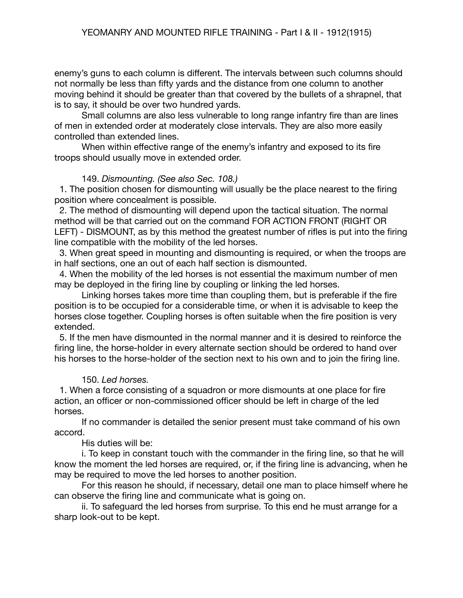enemy's guns to each column is different. The intervals between such columns should not normally be less than fifty yards and the distance from one column to another moving behind it should be greater than that covered by the bullets of a shrapnel, that is to say, it should be over two hundred yards.

Small columns are also less vulnerable to long range infantry fire than are lines of men in extended order at moderately close intervals. They are also more easily controlled than extended lines.

When within effective range of the enemy's infantry and exposed to its fire troops should usually move in extended order.

### 149. *Dismounting. (See also Sec. 108.)*

 1. The position chosen for dismounting will usually be the place nearest to the firing position where concealment is possible.

 2. The method of dismounting will depend upon the tactical situation. The normal method will be that carried out on the command FOR ACTION FRONT (RIGHT OR LEFT) - DISMOUNT, as by this method the greatest number of rifles is put into the firing line compatible with the mobility of the led horses.

 3. When great speed in mounting and dismounting is required, or when the troops are in half sections, one an out of each half section is dismounted.

 4. When the mobility of the led horses is not essential the maximum number of men may be deployed in the firing line by coupling or linking the led horses.

Linking horses takes more time than coupling them, but is preferable if the fire position is to be occupied for a considerable time, or when it is advisable to keep the horses close together. Coupling horses is often suitable when the fire position is very extended.

 5. If the men have dismounted in the normal manner and it is desired to reinforce the firing line, the horse-holder in every alternate section should be ordered to hand over his horses to the horse-holder of the section next to his own and to join the firing line.

### 150. *Led horses.*

 1. When a force consisting of a squadron or more dismounts at one place for fire action, an officer or non-commissioned officer should be left in charge of the led horses.

If no commander is detailed the senior present must take command of his own accord.

### His duties will be:

i. To keep in constant touch with the commander in the firing line, so that he will know the moment the led horses are required, or, if the firing line is advancing, when he may be required to move the led horses to another position.

For this reason he should, if necessary, detail one man to place himself where he can observe the firing line and communicate what is going on.

ii. To safeguard the led horses from surprise. To this end he must arrange for a sharp look-out to be kept.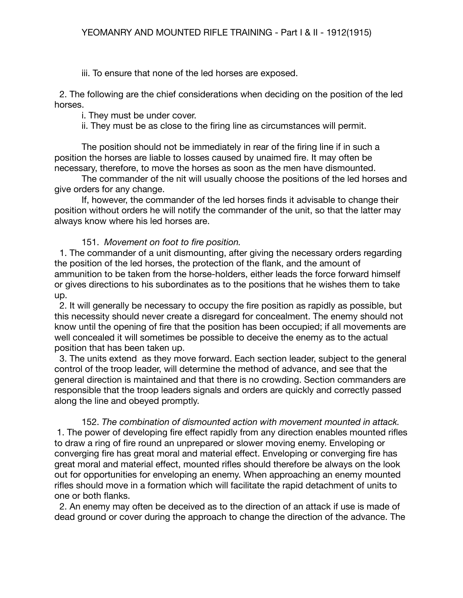iii. To ensure that none of the led horses are exposed.

 2. The following are the chief considerations when deciding on the position of the led horses.

i. They must be under cover.

ii. They must be as close to the firing line as circumstances will permit.

The position should not be immediately in rear of the firing line if in such a position the horses are liable to losses caused by unaimed fire. It may often be necessary, therefore, to move the horses as soon as the men have dismounted.

The commander of the nit will usually choose the positions of the led horses and give orders for any change.

If, however, the commander of the led horses finds it advisable to change their position without orders he will notify the commander of the unit, so that the latter may always know where his led horses are.

# 151. *Movement on foot to fire position.*

 1. The commander of a unit dismounting, after giving the necessary orders regarding the position of the led horses, the protection of the flank, and the amount of ammunition to be taken from the horse-holders, either leads the force forward himself or gives directions to his subordinates as to the positions that he wishes them to take up.

 2. It will generally be necessary to occupy the fire position as rapidly as possible, but this necessity should never create a disregard for concealment. The enemy should not know until the opening of fire that the position has been occupied; if all movements are well concealed it will sometimes be possible to deceive the enemy as to the actual position that has been taken up.

 3. The units extend as they move forward. Each section leader, subject to the general control of the troop leader, will determine the method of advance, and see that the general direction is maintained and that there is no crowding. Section commanders are responsible that the troop leaders signals and orders are quickly and correctly passed along the line and obeyed promptly.

152. *The combination of dismounted action with movement mounted in attack.* 1. The power of developing fire effect rapidly from any direction enables mounted rifles to draw a ring of fire round an unprepared or slower moving enemy. Enveloping or converging fire has great moral and material effect. Enveloping or converging fire has great moral and material effect, mounted rifles should therefore be always on the look out for opportunities for enveloping an enemy. When approaching an enemy mounted rifles should move in a formation which will facilitate the rapid detachment of units to one or both flanks.

 2. An enemy may often be deceived as to the direction of an attack if use is made of dead ground or cover during the approach to change the direction of the advance. The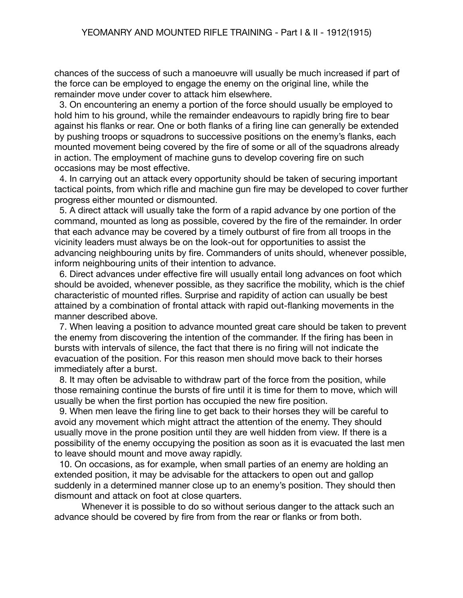chances of the success of such a manoeuvre will usually be much increased if part of the force can be employed to engage the enemy on the original line, while the remainder move under cover to attack him elsewhere.

 3. On encountering an enemy a portion of the force should usually be employed to hold him to his ground, while the remainder endeavours to rapidly bring fire to bear against his flanks or rear. One or both flanks of a firing line can generally be extended by pushing troops or squadrons to successive positions on the enemy's flanks, each mounted movement being covered by the fire of some or all of the squadrons already in action. The employment of machine guns to develop covering fire on such occasions may be most effective.

 4. In carrying out an attack every opportunity should be taken of securing important tactical points, from which rifle and machine gun fire may be developed to cover further progress either mounted or dismounted.

 5. A direct attack will usually take the form of a rapid advance by one portion of the command, mounted as long as possible, covered by the fire of the remainder. In order that each advance may be covered by a timely outburst of fire from all troops in the vicinity leaders must always be on the look-out for opportunities to assist the advancing neighbouring units by fire. Commanders of units should, whenever possible, inform neighbouring units of their intention to advance.

 6. Direct advances under effective fire will usually entail long advances on foot which should be avoided, whenever possible, as they sacrifice the mobility, which is the chief characteristic of mounted rifles. Surprise and rapidity of action can usually be best attained by a combination of frontal attack with rapid out-flanking movements in the manner described above.

 7. When leaving a position to advance mounted great care should be taken to prevent the enemy from discovering the intention of the commander. If the firing has been in bursts with intervals of silence, the fact that there is no firing will not indicate the evacuation of the position. For this reason men should move back to their horses immediately after a burst.

 8. It may often be advisable to withdraw part of the force from the position, while those remaining continue the bursts of fire until it is time for them to move, which will usually be when the first portion has occupied the new fire position.

 9. When men leave the firing line to get back to their horses they will be careful to avoid any movement which might attract the attention of the enemy. They should usually move in the prone position until they are well hidden from view. If there is a possibility of the enemy occupying the position as soon as it is evacuated the last men to leave should mount and move away rapidly.

 10. On occasions, as for example, when small parties of an enemy are holding an extended position, it may be advisable for the attackers to open out and gallop suddenly in a determined manner close up to an enemy's position. They should then dismount and attack on foot at close quarters.

 Whenever it is possible to do so without serious danger to the attack such an advance should be covered by fire from from the rear or flanks or from both.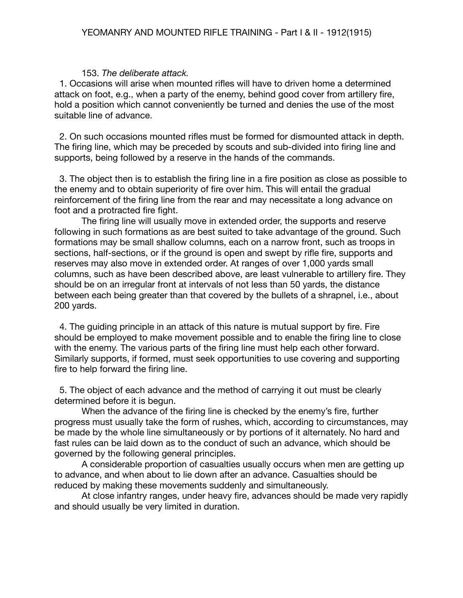### 153. *The deliberate attack.*

1. Occasions will arise when mounted rifles will have to driven home a determined attack on foot, e.g., when a party of the enemy, behind good cover from artillery fire, hold a position which cannot conveniently be turned and denies the use of the most suitable line of advance.

 2. On such occasions mounted rifles must be formed for dismounted attack in depth. The firing line, which may be preceded by scouts and sub-divided into firing line and supports, being followed by a reserve in the hands of the commands.

 3. The object then is to establish the firing line in a fire position as close as possible to the enemy and to obtain superiority of fire over him. This will entail the gradual reinforcement of the firing line from the rear and may necessitate a long advance on foot and a protracted fire fight.

The firing line will usually move in extended order, the supports and reserve following in such formations as are best suited to take advantage of the ground. Such formations may be small shallow columns, each on a narrow front, such as troops in sections, half-sections, or if the ground is open and swept by rifle fire, supports and reserves may also move in extended order. At ranges of over 1,000 yards small columns, such as have been described above, are least vulnerable to artillery fire. They should be on an irregular front at intervals of not less than 50 yards, the distance between each being greater than that covered by the bullets of a shrapnel, i.e., about 200 yards.

 4. The guiding principle in an attack of this nature is mutual support by fire. Fire should be employed to make movement possible and to enable the firing line to close with the enemy. The various parts of the firing line must help each other forward. Similarly supports, if formed, must seek opportunities to use covering and supporting fire to help forward the firing line.

 5. The object of each advance and the method of carrying it out must be clearly determined before it is begun.

When the advance of the firing line is checked by the enemy's fire, further progress must usually take the form of rushes, which, according to circumstances, may be made by the whole line simultaneously or by portions of it alternately. No hard and fast rules can be laid down as to the conduct of such an advance, which should be governed by the following general principles.

A considerable proportion of casualties usually occurs when men are getting up to advance, and when about to lie down after an advance. Casualties should be reduced by making these movements suddenly and simultaneously.

At close infantry ranges, under heavy fire, advances should be made very rapidly and should usually be very limited in duration.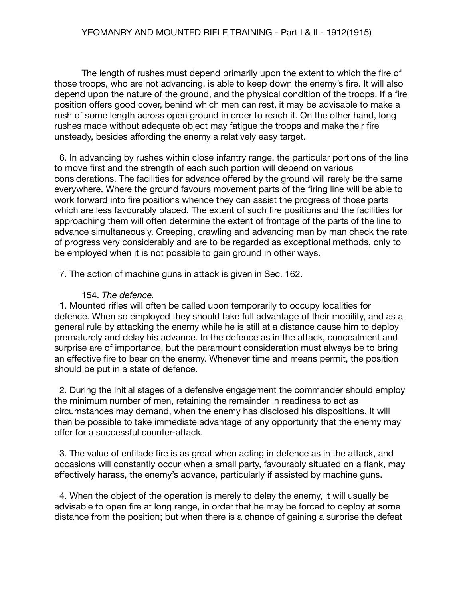The length of rushes must depend primarily upon the extent to which the fire of those troops, who are not advancing, is able to keep down the enemy's fire. It will also depend upon the nature of the ground, and the physical condition of the troops. If a fire position offers good cover, behind which men can rest, it may be advisable to make a rush of some length across open ground in order to reach it. On the other hand, long rushes made without adequate object may fatigue the troops and make their fire unsteady, besides affording the enemy a relatively easy target.

 6. In advancing by rushes within close infantry range, the particular portions of the line to move first and the strength of each such portion will depend on various considerations. The facilities for advance offered by the ground will rarely be the same everywhere. Where the ground favours movement parts of the firing line will be able to work forward into fire positions whence they can assist the progress of those parts which are less favourably placed. The extent of such fire positions and the facilities for approaching them will often determine the extent of frontage of the parts of the line to advance simultaneously. Creeping, crawling and advancing man by man check the rate of progress very considerably and are to be regarded as exceptional methods, only to be employed when it is not possible to gain ground in other ways.

7. The action of machine guns in attack is given in Sec. 162.

## 154. *The defence.*

1. Mounted rifles will often be called upon temporarily to occupy localities for defence. When so employed they should take full advantage of their mobility, and as a general rule by attacking the enemy while he is still at a distance cause him to deploy prematurely and delay his advance. In the defence as in the attack, concealment and surprise are of importance, but the paramount consideration must always be to bring an effective fire to bear on the enemy. Whenever time and means permit, the position should be put in a state of defence.

 2. During the initial stages of a defensive engagement the commander should employ the minimum number of men, retaining the remainder in readiness to act as circumstances may demand, when the enemy has disclosed his dispositions. It will then be possible to take immediate advantage of any opportunity that the enemy may offer for a successful counter-attack.

 3. The value of enfilade fire is as great when acting in defence as in the attack, and occasions will constantly occur when a small party, favourably situated on a flank, may effectively harass, the enemy's advance, particularly if assisted by machine guns.

 4. When the object of the operation is merely to delay the enemy, it will usually be advisable to open fire at long range, in order that he may be forced to deploy at some distance from the position; but when there is a chance of gaining a surprise the defeat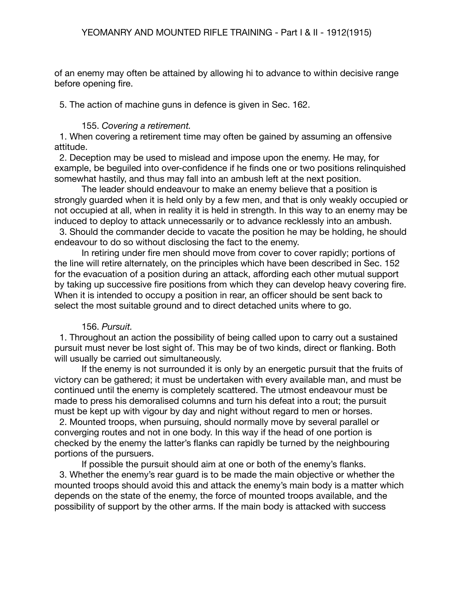of an enemy may often be attained by allowing hi to advance to within decisive range before opening fire.

5. The action of machine guns in defence is given in Sec. 162.

## 155. *Covering a retirement.*

1. When covering a retirement time may often be gained by assuming an offensive attitude.

 2. Deception may be used to mislead and impose upon the enemy. He may, for example, be beguiled into over-confidence if he finds one or two positions relinquished somewhat hastily, and thus may fall into an ambush left at the next position.

The leader should endeavour to make an enemy believe that a position is strongly guarded when it is held only by a few men, and that is only weakly occupied or not occupied at all, when in reality it is held in strength. In this way to an enemy may be induced to deploy to attack unnecessarily or to advance recklessly into an ambush.

 3. Should the commander decide to vacate the position he may be holding, he should endeavour to do so without disclosing the fact to the enemy.

In retiring under fire men should move from cover to cover rapidly; portions of the line will retire alternately, on the principles which have been described in Sec. 152 for the evacuation of a position during an attack, affording each other mutual support by taking up successive fire positions from which they can develop heavy covering fire. When it is intended to occupy a position in rear, an officer should be sent back to select the most suitable ground and to direct detached units where to go.

### 156. *Pursuit.*

1. Throughout an action the possibility of being called upon to carry out a sustained pursuit must never be lost sight of. This may be of two kinds, direct or flanking. Both will usually be carried out simultaneously.

If the enemy is not surrounded it is only by an energetic pursuit that the fruits of victory can be gathered; it must be undertaken with every available man, and must be continued until the enemy is completely scattered. The utmost endeavour must be made to press his demoralised columns and turn his defeat into a rout; the pursuit must be kept up with vigour by day and night without regard to men or horses.

 2. Mounted troops, when pursuing, should normally move by several parallel or converging routes and not in one body. In this way if the head of one portion is checked by the enemy the latter's flanks can rapidly be turned by the neighbouring portions of the pursuers.

If possible the pursuit should aim at one or both of the enemy's flanks. 3. Whether the enemy's rear guard is to be made the main objective or whether the mounted troops should avoid this and attack the enemy's main body is a matter which depends on the state of the enemy, the force of mounted troops available, and the possibility of support by the other arms. If the main body is attacked with success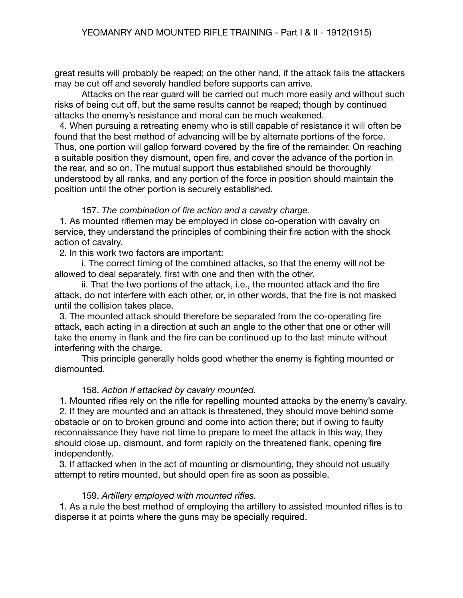great results will probably be reaped; on the other hand, if the attack fails the attackers may be cut off and severely handled before supports can arrive.

Attacks on the rear guard will be carried out much more easily and without such risks of being cut off, but the same results cannot be reaped; though by continued attacks the enemy's resistance and moral can be much weakened.

 4. When pursuing a retreating enemy who is still capable of resistance it will often be found that the best method of advancing will be by alternate portions of the force. Thus, one portion will gallop forward covered by the fire of the remainder. On reaching a suitable position they dismount, open fire, and cover the advance of the portion in the rear, and so on. The mutual support thus established should be thoroughly understood by all ranks, and any portion of the force in position should maintain the position until the other portion is securely established.

### 157. *The combination of fire action and a cavalry charge.*

1. As mounted riflemen may be employed in close co-operation with cavalry on service, they understand the principles of combining their fire action with the shock action of cavalry.

2. In this work two factors are important:

i. The correct timing of the combined attacks, so that the enemy will not be allowed to deal separately, first with one and then with the other.

ii. That the two portions of the attack, i.e., the mounted attack and the fire attack, do not interfere with each other, or, in other words, that the fire is not masked until the collision takes place.

 3. The mounted attack should therefore be separated from the co-operating fire attack, each acting in a direction at such an angle to the other that one or other will take the enemy in flank and the fire can be continued up to the last minute without interfering with the charge.

This principle generally holds good whether the enemy is fighting mounted or dismounted.

# 158. *Action if attacked by cavalry mounted.*

 1. Mounted rifles rely on the rifle for repelling mounted attacks by the enemy's cavalry. 2. If they are mounted and an attack is threatened, they should move behind some obstacle or on to broken ground and come into action there; but if owing to faulty reconnaissance they have not time to prepare to meet the attack in this way, they should close up, dismount, and form rapidly on the threatened flank, opening fire independently.

 3. If attacked when in the act of mounting or dismounting, they should not usually attempt to retire mounted, but should open fire as soon as possible.

### 159. *Artillery employed with mounted rifles.*

1. As a rule the best method of employing the artillery to assisted mounted rifles is to disperse it at points where the guns may be specially required.